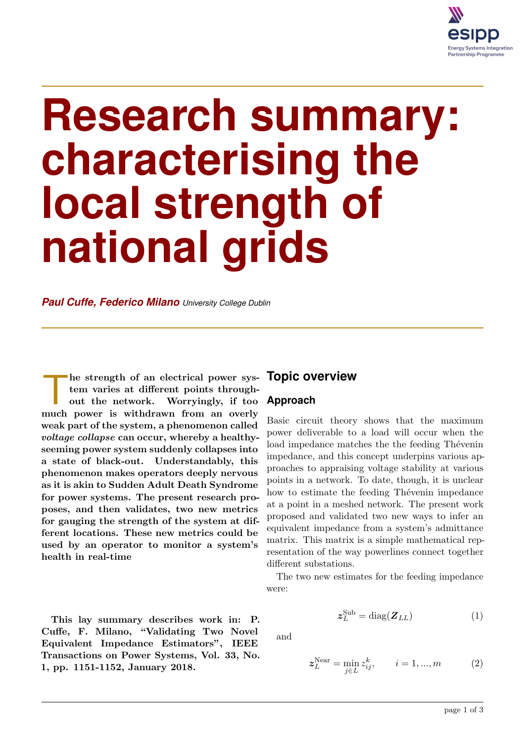

# **Research summary: characterising the local strength of national grids**

*Paul Cuffe, Federico Milano University College Dublin*

The strength of an electrical power system varies at different points throughout the network. Worryingly, if too much power is withdrawn from an overly he strength of an electrical power system varies at different points throughout the network. Worryingly, if too weak part of the system, a phenomenon called voltage collapse can occur, whereby a healthyseeming power system suddenly collapses into a state of black-out. Understandably, this phenomenon makes operators deeply nervous as it is akin to Sudden Adult Death Syndrome for power systems. The present research proposes, and then validates, two new metrics for gauging the strength of the system at different locations. These new metrics could be used by an operator to monitor a system's health in real-time

This lay summary describes work in: P. Cuffe, F. Milano, "Validating Two Novel Equivalent Impedance Estimators", IEEE Transactions on Power Systems, Vol. 33, No. 1, pp. 1151-1152, January 2018.

## **Topic overview**

#### **Approach**

Basic circuit theory shows that the maximum power deliverable to a load will occur when the load impedance matches the the feeding Thévenin impedance, and this concept underpins various approaches to appraising voltage stability at various points in a network. To date, though, it is unclear how to estimate the feeding Thevenin impedance at a point in a meshed network. The present work proposed and validated two new ways to infer an equivalent impedance from a system's admittance matrix. This matrix is a simple mathematical representation of the way powerlines connect together different substations.

The two new estimates for the feeding impedance were:

$$
z_L^{\text{Sub}} = \text{diag}(\boldsymbol{Z}_{LL})\tag{1}
$$

and

$$
z_L^{\text{Near}} = \min_{j \in L} z_{ij}^k, \qquad i = 1, ..., m \tag{2}
$$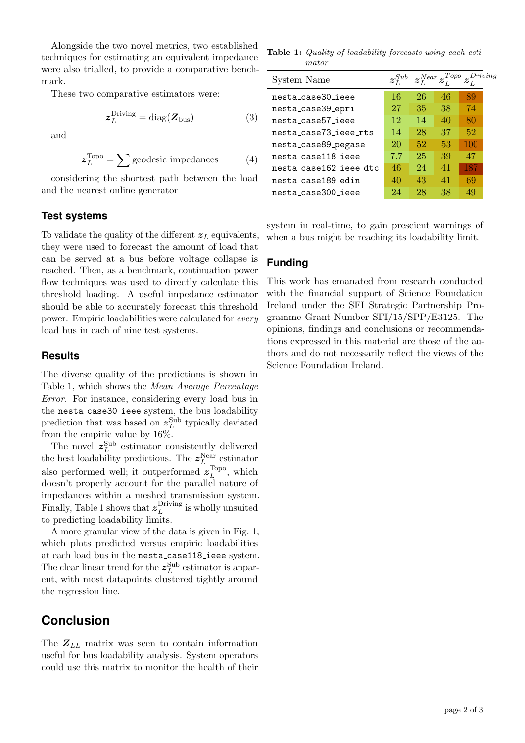Alongside the two novel metrics, two established techniques for estimating an equivalent impedance were also trialled, to provide a comparative benchmark.

These two comparative estimators were:

$$
z_L^{\text{Diving}} = \text{diag}(\boldsymbol{Z}_{\text{bus}}) \tag{3}
$$

and

$$
z_L^{\text{Topo}} = \sum \text{geodesic impedances} \tag{4}
$$

considering the shortest path between the load and the nearest online generator

#### **Test systems**

To validate the quality of the different  $z_L$  equivalents, they were used to forecast the amount of load that can be served at a bus before voltage collapse is reached. Then, as a benchmark, continuation power flow techniques was used to directly calculate this threshold loading. A useful impedance estimator should be able to accurately forecast this threshold power. Empiric loadabilities were calculated for every load bus in each of nine test systems.

#### **Results**

The diverse quality of the predictions is shown in Table 1, which shows the Mean Average Percentage Error. For instance, considering every load bus in the nesta\_case30\_ieee system, the bus loadability prediction that was based on  $z_L^{\text{Sub}}$  typically deviated from the empiric value by 16%.

The novel  $z_L^{\text{Sub}}$  estimator consistently delivered the best loadability predictions. The  $z_L^{\text{Near}}$  estimator also performed well; it outperformed  $z_L^{\text{Topo}}$  $L^{\text{1opo}}$ , which doesn't properly account for the parallel nature of impedances within a meshed transmission system. Finally, Table 1 shows that  $z_L^{\text{Diving}}$  $L^{Driving}$  is wholly unsuited to predicting loadability limits.

A more granular view of the data is given in Fig. 1, which plots predicted versus empiric loadabilities at each load bus in the nesta case118 ieee system. The clear linear trend for the  $z_L^{\text{Sub}}$  estimator is apparent, with most datapoints clustered tightly around the regression line.

# **Conclusion**

The  $Z_{LL}$  matrix was seen to contain information useful for bus loadability analysis. System operators could use this matrix to monitor the health of their

Table 1: Quality of loadability forecasts using each estimator

| System Name            | $z_I^{Sub}$ |    | $z_{I}^{Near}z_{I}^{Topo}$ |     | iving |
|------------------------|-------------|----|----------------------------|-----|-------|
| nesta case30 ieee      | 16          | 26 | 46                         | 89  |       |
| nesta_case39_epri      | 27          | 35 | 38                         | 74  |       |
| nesta case57 ieee      | 12          | 14 | 40                         | 80  |       |
| nesta case73 ieee rts  | 14          | 28 | 37                         | 52  |       |
| nesta_case89_pegase    | 20          | 52 | 53                         | 100 |       |
| nesta case118 ieee     | 7.7         | 25 | 39                         | 47  |       |
| nesta case162 ieee dtc | 46          | 24 | 41                         | 187 |       |
| nesta case189 edin     | 40          | 43 | 41                         | 69  |       |
| nesta case300 ieee     | 24          | 28 | 38                         | 49  |       |

system in real-time, to gain prescient warnings of when a bus might be reaching its loadability limit.

### **Funding**

This work has emanated from research conducted with the financial support of Science Foundation Ireland under the SFI Strategic Partnership Programme Grant Number SFI/15/SPP/E3125. The opinions, findings and conclusions or recommendations expressed in this material are those of the authors and do not necessarily reflect the views of the Science Foundation Ireland.